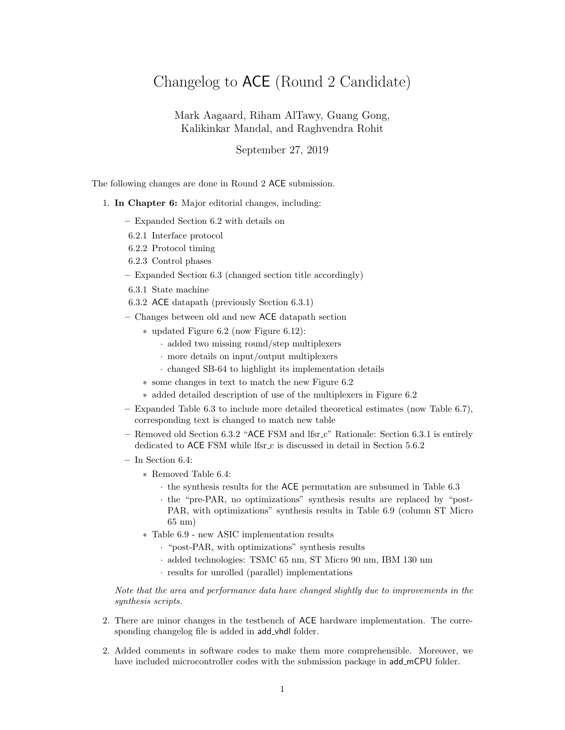## Changelog to ACE (Round 2 Candidate)

Mark Aagaard, Riham AlTawy, Guang Gong, Kalikinkar Mandal, and Raghvendra Rohit

September 27, 2019

The following changes are done in Round 2 ACE submission.

## 1. In Chapter 6: Major editorial changes, including:

- Expanded Section 6.2 with details on
- 6.2.1 Interface protocol
- 6.2.2 Protocol timing
- 6.2.3 Control phases
- Expanded Section 6.3 (changed section title accordingly)
- 6.3.1 State machine
- 6.3.2 ACE datapath (previously Section 6.3.1)
- Changes between old and new ACE datapath section
	- ∗ updated Figure 6.2 (now Figure 6.12):
		- · added two missing round/step multiplexers
		- · more details on input/output multiplexers
		- · changed SB-64 to highlight its implementation details
	- ∗ some changes in text to match the new Figure 6.2
	- ∗ added detailed description of use of the multiplexers in Figure 6.2
- Expanded Table 6.3 to include more detailed theoretical estimates (now Table 6.7), corresponding text is changed to match new table
- Removed old Section 6.3.2 "ACE FSM and lfsr c" Rationale: Section 6.3.1 is entirely dedicated to ACE FSM while lfsr<sub>c</sub> is discussed in detail in Section 5.6.2
- In Section 6.4:
	- ∗ Removed Table 6.4:
		- · the synthesis results for the ACE permutation are subsumed in Table 6.3
		- · the "pre-PAR, no optimizations" synthesis results are replaced by "post-PAR, with optimizations" synthesis results in Table 6.9 (column ST Micro 65 nm)
	- ∗ Table 6.9 new ASIC implementation results
		- · "post-PAR, with optimizations" synthesis results
		- · added technologies: TSMC 65 nm, ST Micro 90 nm, IBM 130 nm
		- · results for unrolled (parallel) implementations

Note that the area and performance data have changed slightly due to improvements in the synthesis scripts.

- 2. There are minor changes in the testbench of ACE hardware implementation. The corresponding changelog file is added in add vhdl folder.
- 2. Added comments in software codes to make them more comprehensible. Moreover, we have included microcontroller codes with the submission package in add\_mCPU folder.